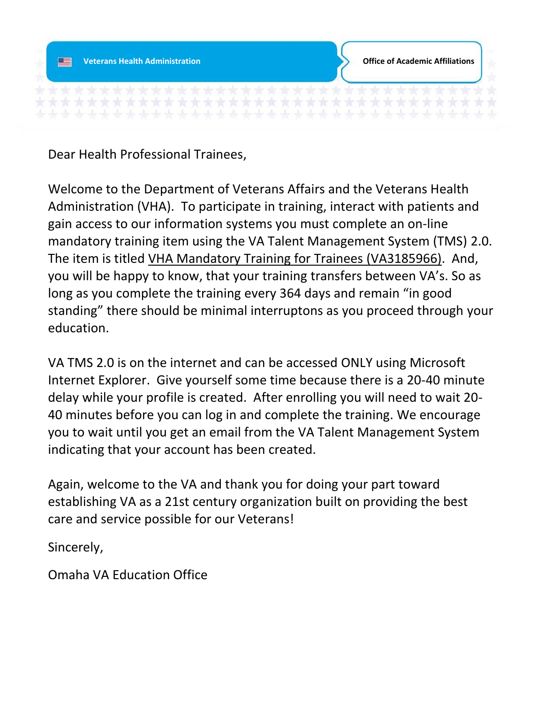

Dear Health Professional Trainees,

Welcome to the Department of Veterans Affairs and the Veterans Health Administration (VHA). To participate in training, interact with patients and gain access to our information systems you must complete an on-line mandatory training item using the VA Talent Management System (TMS) 2.0. The item is titled VHA Mandatory Training for Trainees (VA3185966). And, you will be happy to know, that your training transfers between VA's. So as long as you complete the training every 364 days and remain "in good standing" there should be minimal interruptons as you proceed through your education.

VA TMS 2.0 is on the internet and can be accessed ONLY using Microsoft Internet Explorer. Give yourself some time because there is a 20-40 minute delay while your profile is created. After enrolling you will need to wait 20- 40 minutes before you can log in and complete the training. We encourage you to wait until you get an email from the VA Talent Management System indicating that your account has been created.

Again, welcome to the VA and thank you for doing your part toward establishing VA as a 21st century organization built on providing the best care and service possible for our Veterans!

Sincerely,

Omaha VA Education Office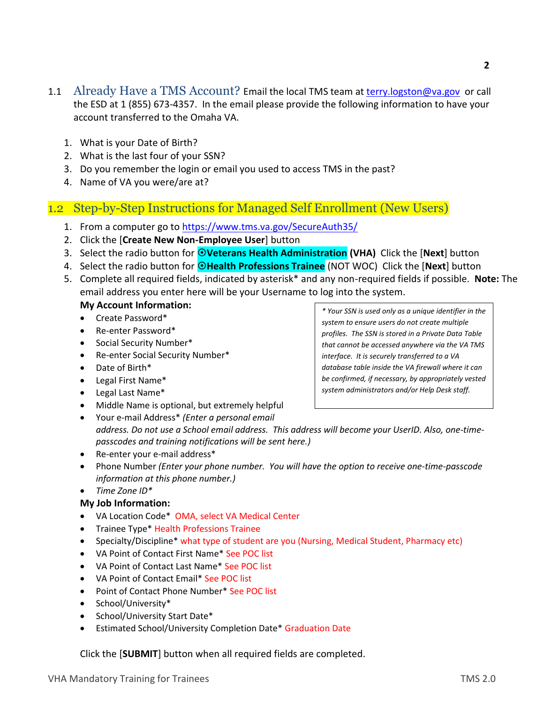- 1.1 Already Have a TMS Account? Email the local TMS team at [terry.logston@va.gov](mailto:terry.logston@va.gov) or call the ESD at 1 (855) 673-4357. In the email please provide the following information to have your account transferred to the Omaha VA.
	- 1. What is your Date of Birth?
	- 2. What is the last four of your SSN?
	- 3. Do you remember the login or email you used to access TMS in the past?
	- 4. Name of VA you were/are at?

## 1.2 Step-by-Step Instructions for Managed Self Enrollment (New Users)

- 1. From a computer go to <https://www.tms.va.gov/SecureAuth35/>
- 2. Click the [**Create New Non-Employee User**] button
- 3. Select the radio button for **Veterans Health Administration (VHA)** Click the [**Next**] button
- 4. Select the radio button for **OHealth Professions Trainee** (NOT WOC) Click the [Next] button
- 5. Complete all required fields, indicated by asterisk\* and any non-required fields if possible. **Note:** The email address you enter here will be your Username to log into the system.

#### **My Account Information:**

- Create Password\*
- Re-enter Password\*
- Social Security Number\*
- Re-enter Social Security Number\*
- Date of Birth\*
- Legal First Name\*
- Legal Last Name\*
- Middle Name is optional, but extremely helpful
- Your e-mail Address\* *(Enter a personal email address. Do not use a School email address. This address will become your UserID. Also, one-timepasscodes and training notifications will be sent here.)*
- Re-enter your e-mail address\*
- Phone Number *(Enter your phone number. You will have the option to receive one-time-passcode information at this phone number.)*
- *Time Zone ID\**

#### **My Job Information:**

- VA Location Code\* OMA, select VA Medical Center
- Trainee Type\* Health Professions Trainee
- Specialty/Discipline\* what type of student are you (Nursing, Medical Student, Pharmacy etc)
- VA Point of Contact First Name\* See POC list
- VA Point of Contact Last Name\* See POC list
- VA Point of Contact Email\* See POC list
- Point of Contact Phone Number\* See POC list
- School/University\*
- School/University Start Date\*
- Estimated School/University Completion Date\* Graduation Date

Click the [**SUBMIT**] button when all required fields are completed.

*\* Your SSN is used only as a unique identifier in the system to ensure users do not create multiple profiles. The SSN is stored in a Private Data Table that cannot be accessed anywhere via the VA TMS interface. It is securely transferred to a VA database table inside the VA firewall where it can be confirmed, if necessary, by appropriately vested system administrators and/or Help Desk staff.*